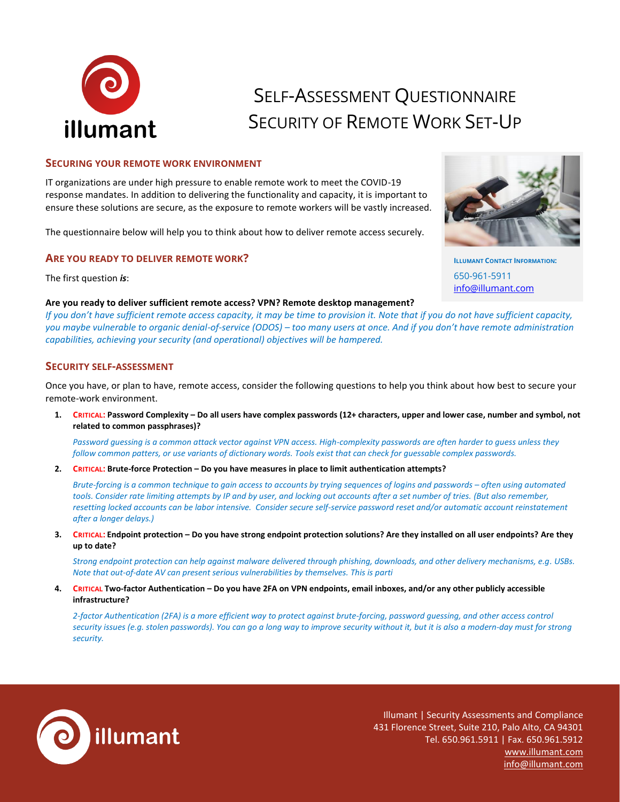

# SELF-ASSESSMENT QUESTIONNAIRE SECURITY OF REMOTE WORK SET-UP

# **S[ECURING](https://www.illumant.com/Assessments) YOUR REMOTE WORK ENVIRONMENT**

IT organizations are under high pressure to enable remote work to meet the COVID-19 response mandates. In addition to delivering the functionality and capacity, it is important to ensure these solutions are secure, as the exposure to remote workers will be vastly increased.

The questionnaire below will help you to think about how to deliver remote access securely.

## **ARE YOU READY TO DELIVER REMOTE WORK?**

The first question *is*:

## **Are you ready to deliver sufficient remote access? VPN? Remote desktop management?**

*If you don't have sufficient remote access capacity, it may be time to provision it. Note that if you do not have sufficient capacity, you maybe vulnerable to organic denial-of-service (ODOS) – too many users at once. And if you don't have remote administration capabilities, achieving your security (and operational) objectives will be hampered.*

# **SECURITY SELF-[ASSESSMENT](https://www.illumant.com/Compliance)**

Once you have, or plan to have, remote access, consider the following questions to help you think about how best to secure your remote-work environment.

**1. CRITICAL: Password Complexity – Do all users have complex passwords (12+ characters, upper and lower case, number and symbol, not related to common passphrases)?**

*Password guessing is a common attack vector against VPN access. High-complexity passwords are often harder to guess unless they follow common patters, or use variants of dictionary words. Tools exist that can check for guessable complex passwords.*

**2. CRITICAL: Brute-force Protection – Do you have measures in place to limit authentication attempts?**

*Brute-forcing is a common technique to gain access to accounts by trying sequences of logins and passwords – often using automated tools. Consider rate limiting attempts by IP and by user, and locking out accounts after a set number of tries. (But also remember, resetting locked accounts can be labor intensive. Consider secure self-service password reset and/or automatic account reinstatement after a longer delays.)*

**3. CRITICAL: Endpoint protection – Do you have strong endpoint protection solutions? Are they installed on all user endpoints? Are they up to date?**

*Strong endpoint protection can help against malware delivered through phishing, downloads, and other delivery mechanisms, e.g. USBs. Note that out-of-date AV can present serious vulnerabilities by themselves. This is parti*

## **4. CRITICAL Two-factor Authentication – Do you have 2FA on VPN endpoints, email inboxes, and/or any other publicly accessible infrastructure?**

*2-factor Authentication (2FA) is a more efficient way to protect against brute-forcing, password guessing, and other access control security issues (e.g. stolen passwords). You can go a long way to improve security without it, but it is also a modern-day must for strong security.*



Illumant | Security Assessments and Compliance 431 Florence Street, Suite 210, Palo Alto, CA 94301 Tel. 650.961.5911 | Fax. 650.961.5912 [www.illumant.com](http://www.illumant.com/) [info@illumant.com](mailto:info@illumant.com)



**ILLUMANT CONTACT INFORMATION:** 650-961-5911 [info@illumant.com](mailto:info@illumant.com)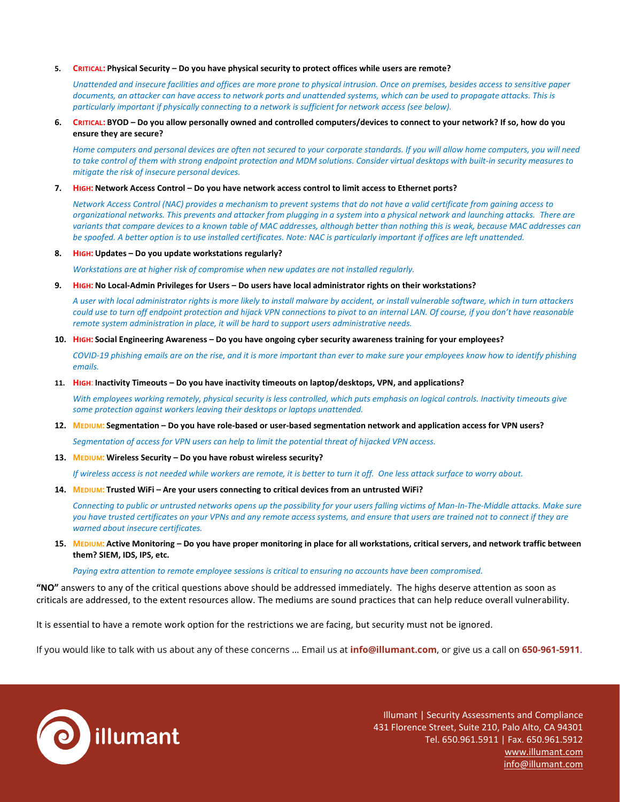#### **5. CRITICAL: Physical Security – Do you have physical security to protect offices while users are remote?**

*Unattended and insecure facilities and offices are more prone to physical intrusion. Once on premises, besides access to sensitive paper documents, an attacker can have access to network ports and unattended systems, which can be used to propagate attacks. This is particularly important if physically connecting to a network is sufficient for network access (see below).*

#### **6. CRITICAL: BYOD – Do you allow personally owned and controlled computers/devices to connect to your network? If so, how do you ensure they are secure?**

*Home computers and personal devices are often not secured to your corporate standards. If you will allow home computers, you will need to take control of them with strong endpoint protection and MDM solutions. Consider virtual desktops with built-in security measures to mitigate the risk of insecure personal devices.*

#### **7. HIGH: Network Access Control – Do you have network access control to limit access to Ethernet ports?**

*Network Access Control (NAC) provides a mechanism to prevent systems that do not have a valid certificate from gaining access to organizational networks. This prevents and attacker from plugging in a system into a physical network and launching attacks. There are variants that compare devices to a known table of MAC addresses, although better than nothing this is weak, because MAC addresses can be spoofed. A better option is to use installed certificates. Note: NAC is particularly important if offices are left unattended.*

#### **8. HIGH: Updates – Do you update workstations regularly?**

*Workstations are at higher risk of compromise when new updates are not installed regularly.*

#### **9. HIGH: No Local-Admin Privileges for Users – Do users have local administrator rights on their workstations?**

*A user with local administrator rights is more likely to install malware by accident, or install vulnerable software, which in turn attackers could use to turn off endpoint protection and hijack VPN connections to pivot to an internal LAN. Of course, if you don't have reasonable remote system administration in place, it will be hard to support users administrative needs.* 

#### **10. HIGH: Social Engineering Awareness – Do you have ongoing cyber security awareness training for your employees?**

*COVID-19 phishing emails are on the rise, and it is more important than ever to make sure your employees know how to identify phishing emails.*

#### **11. HIGH: Inactivity Timeouts – Do you have inactivity timeouts on laptop/desktops, VPN, and applications?**

*With employees working remotely, physical security is less controlled, which puts emphasis on logical controls. Inactivity timeouts give some protection against workers leaving their desktops or laptops unattended.*

#### **12. MEDIUM: Segmentation – Do you have role-based or user-based segmentation network and application access for VPN users?**

*Segmentation of access for VPN users can help to limit the potential threat of hijacked VPN access.* 

#### **13. MEDIUM: Wireless Security – Do you have robust wireless security?**

*If wireless access is not needed while workers are remote, it is better to turn it off. One less attack surface to worry about.*

**14. MEDIUM: Trusted WiFi – Are your users connecting to critical devices from an untrusted WiFi?** 

*Connecting to public or untrusted networks opens up the possibility for your users falling victims of Man-In-The-Middle attacks. Make sure you have trusted certificates on your VPNs and any remote access systems, and ensure that users are trained not to connect if they are warned about insecure certificates.*

**15. MEDIUM: Active Monitoring – Do you have proper monitoring in place for all workstations, critical servers, and network traffic between them? SIEM, IDS, IPS, etc.**

*Paying extra attention to remote employee sessions is critical to ensuring no accounts have been compromised.*

**"NO"** answers to any of the critical questions above should be addressed immediately. The highs deserve attention as soon as criticals are addressed, to the extent resources allow. The mediums are sound practices that can help reduce overall vulnerability.

It is essential to have a remote work option for the restrictions we are facing, but security must not be ignored.

If you would like to talk with us about any of these concerns … Email us at **[info@illumant.com](mailto:info@illumant.com)**, or give us a call on **650-961-5911**.



Illumant | Security Assessments and Compliance 431 Florence Street, Suite 210, Palo Alto, CA 94301 Tel. 650.961.5911 | Fax. 650.961.5912 [www.illumant.com](http://www.illumant.com/) [info@illumant.com](mailto:info@illumant.com)